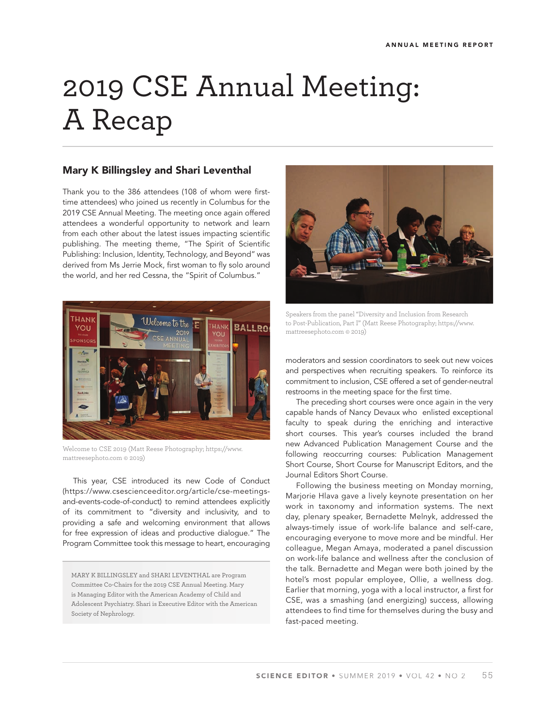## 2019 CSE Annual Meeting: A Recap

## **Mary K Billingsley and Shari Leventhal**

Thank you to the 386 attendees (108 of whom were firsttime attendees) who joined us recently in Columbus for the 2019 CSE Annual Meeting. The meeting once again offered attendees a wonderful opportunity to network and learn from each other about the latest issues impacting scientific publishing. The meeting theme, "The Spirit of Scientific Publishing: Inclusion, Identity, Technology, and Beyond" was derived from Ms Jerrie Mock, first woman to fly solo around the world, and her red Cessna, the "Spirit of Columbus."



Welcome to CSE 2019 (Matt Reese Photography; https://www. mattreesephoto.com © 2019)

This year, CSE introduced its new Code of Conduct (https://www.csescienceeditor.org/article/cse-meetingsand-events-code-of-conduct) to remind attendees explicitly of its commitment to "diversity and inclusivity, and to providing a safe and welcoming environment that allows for free expression of ideas and productive dialogue." The Program Committee took this message to heart, encouraging

MARY K BILLINGSLEY and SHARI LEVENTHAL are Program Committee Co-Chairs for the 2019 CSE Annual Meeting. Mary is Managing Editor with the American Academy of Child and Adolescent Psychiatry. Shari is Executive Editor with the American Society of Nephrology.



Speakers from the panel "Diversity and Inclusion from Research to Post-Publication, Part I" (Matt Reese Photography; https://www. mattreesephoto.com © 2019)

moderators and session coordinators to seek out new voices and perspectives when recruiting speakers. To reinforce its commitment to inclusion, CSE offered a set of gender-neutral restrooms in the meeting space for the first time.

The preceding short courses were once again in the very capable hands of Nancy Devaux who enlisted exceptional faculty to speak during the enriching and interactive short courses. This year's courses included the brand new Advanced Publication Management Course and the following reoccurring courses: Publication Management Short Course, Short Course for Manuscript Editors, and the Journal Editors Short Course.

Following the business meeting on Monday morning, Marjorie Hlava gave a lively keynote presentation on her work in taxonomy and information systems. The next day, plenary speaker, Bernadette Melnyk, addressed the always-timely issue of work-life balance and self-care, encouraging everyone to move more and be mindful. Her colleague, Megan Amaya, moderated a panel discussion on work-life balance and wellness after the conclusion of the talk. Bernadette and Megan were both joined by the hotel's most popular employee, Ollie, a wellness dog. Earlier that morning, yoga with a local instructor, a first for CSE, was a smashing (and energizing) success, allowing attendees to find time for themselves during the busy and fast-paced meeting.